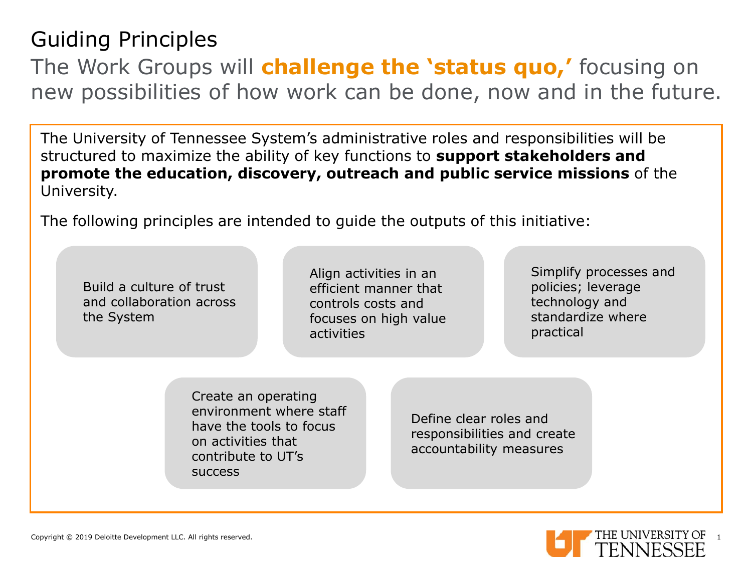# Guiding Principles

The Work Groups will **challenge the 'status quo,'** focusing on new possibilities of how work can be done, now and in the future.

The University of Tennessee System's administrative roles and responsibilities will be structured to maximize the ability of key functions to **support stakeholders and promote the education, discovery, outreach and public service missions** of the University.

The following principles are intended to guide the outputs of this initiative:

Build a culture of trust and collaboration across the System

Align activities in an efficient manner that controls costs and focuses on high value activities

Simplify processes and policies; leverage technology and standardize where practical

Create an operating environment where staff have the tools to focus on activities that contribute to UT's success

Define clear roles and responsibilities and create accountability measures